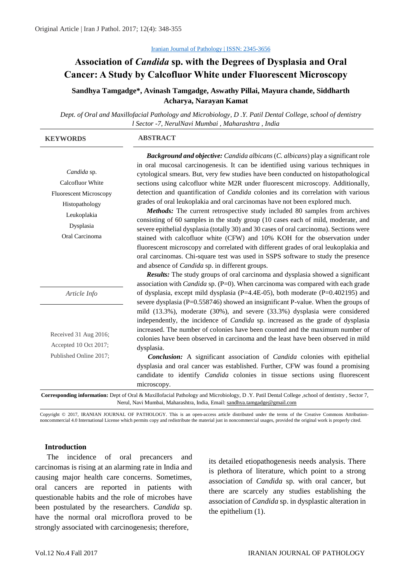# **Association of** *Candida* **sp. with the Degrees of Dysplasia and Oral Cancer: A Study by Calcofluor White under Fluorescent Microscopy**

# **Sandhya Tamgadge\*, Avinash Tamgadge, Aswathy Pillai, Mayura chande, Siddharth Acharya, Narayan Kamat**

*Dept. of Oral and Maxillofacial Pathology and Microbiology, D .Y. Patil Dental College, school of dentistry l Sector -7, NerulNavi Mumbai , Maharashtra , India*

| <b>KEYWORDS</b>                                                                                                                  | <b>ABSTRACT</b>                                                                                                                                                                                                                                                                                                                                                                                                                                                                                                                                                                                                                                                                                                                                                                                                                                                                                                                                                                                                                                                                                          |  |  |  |
|----------------------------------------------------------------------------------------------------------------------------------|----------------------------------------------------------------------------------------------------------------------------------------------------------------------------------------------------------------------------------------------------------------------------------------------------------------------------------------------------------------------------------------------------------------------------------------------------------------------------------------------------------------------------------------------------------------------------------------------------------------------------------------------------------------------------------------------------------------------------------------------------------------------------------------------------------------------------------------------------------------------------------------------------------------------------------------------------------------------------------------------------------------------------------------------------------------------------------------------------------|--|--|--|
| Candida sp.<br>Calcofluor White<br><b>Fluorescent Microscopy</b><br>Histopathology<br>Leukoplakia<br>Dysplasia<br>Oral Carcinoma | Background and objective: Candida albicans (C. albicans) play a significant role<br>in oral mucosal carcinogenesis. It can be identified using various techniques in<br>cytological smears. But, very few studies have been conducted on histopathological<br>sections using calcofluor white M2R under fluorescent microscopy. Additionally,<br>detection and quantification of <i>Candida</i> colonies and its correlation with various<br>grades of oral leukoplakia and oral carcinomas have not been explored much.<br>Methods: The current retrospective study included 80 samples from archives<br>consisting of 60 samples in the study group (10 cases each of mild, moderate, and<br>severe epithelial dysplasia (totally 30) and 30 cases of oral carcinoma). Sections were<br>stained with calcofluor white (CFW) and 10% KOH for the observation under<br>fluorescent microscopy and correlated with different grades of oral leukoplakia and<br>oral carcinomas. Chi-square test was used in SSPS software to study the presence<br>and absence of <i>Candida</i> sp. in different groups. |  |  |  |
| Article Info                                                                                                                     | <b>Results:</b> The study groups of oral carcinoma and dysplasia showed a significant<br>association with <i>Candida</i> sp. $(P=0)$ . When carcinoma was compared with each grade<br>of dysplasia, except mild dysplasia ( $P=4.4E-05$ ), both moderate ( $P=0.402195$ ) and                                                                                                                                                                                                                                                                                                                                                                                                                                                                                                                                                                                                                                                                                                                                                                                                                            |  |  |  |
| Received 31 Aug 2016;<br>Accepted 10 Oct 2017;<br>Published Online 2017;                                                         | severe dysplasia ( $P=0.558746$ ) showed an insignificant P-value. When the groups of<br>mild (13.3%), moderate (30%), and severe (33.3%) dysplasia were considered<br>independently, the incidence of <i>Candida</i> sp. increased as the grade of dysplasia<br>increased. The number of colonies have been counted and the maximum number of<br>colonies have been observed in carcinoma and the least have been observed in mild<br>dysplasia.<br><b>Conclusion:</b> A significant association of <i>Candida</i> colonies with epithelial<br>dysplasia and oral cancer was established. Further, CFW was found a promising<br>candidate to identify <i>Candida</i> colonies in tissue sections using fluorescent<br>microscopy.                                                                                                                                                                                                                                                                                                                                                                       |  |  |  |

**Corresponding information:** Dept of Oral & Maxillofacial Pathology and Microbiology, D .Y. Patil Dental College ,school of dentistry , Sector 7, Nerul, Navi Mumbai, Maharashtra, India, Email: [sandhya.tamgadge@gmail.com](mailto:sandhya.tamgadge@gmail.com)

Copyright © 2017, IRANIAN JOURNAL OF PATHOLOGY. This is an open-access article distributed under the terms of the Creative Commons Attributionnoncommercial 4.0 International License which permits copy and redistribute the material just in noncommercial usages, provided the original work is properly cited.

## **Introduction**

The incidence of oral precancers and carcinomas is rising at an alarming rate in India and causing major health care concerns. Sometimes, oral cancers are reported in patients with questionable habits and the role of microbes have been postulated by the researchers. *Candida* sp. have the normal oral microflora proved to be strongly associated with carcinogenesis; therefore,

its detailed etiopathogenesis needs analysis. There is plethora of literature, which point to a strong association of *Candida* sp. with oral cancer, but there are scarcely any studies establishing the association of *Candida* sp. in dysplastic alteration in the epithelium (1).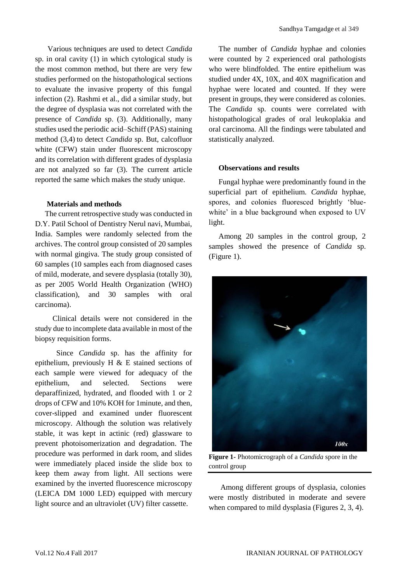Various techniques are used to detect *Candida* sp. in oral cavity (1) in which cytological study is the most common method, but there are very few studies performed on the histopathological sections to evaluate the invasive property of this fungal infection (2). Rashmi et al., did a similar study, but the degree of dysplasia was not correlated with the presence of *Candida* sp. (3). Additionally, many studies used the periodic acid–Schiff (PAS) staining method (3,4) to detect *Candida* sp. But, calcofluor white (CFW) stain under fluorescent microscopy and its correlation with different grades of dysplasia are not analyzed so far (3). The current article reported the same which makes the study unique.

## **Materials and methods**

The current retrospective study was conducted in D.Y. Patil School of Dentistry Nerul navi, Mumbai, India. Samples were randomly selected from the archives. The control group consisted of 20 samples with normal gingiva. The study group consisted of 60 samples (10 samples each from diagnosed cases of mild, moderate, and severe dysplasia (totally 30), as per 2005 World Health Organization (WHO) classification), and 30 samples with oral carcinoma).

 Clinical details were not considered in the study due to incomplete data available in most of the biopsy requisition forms.

 Since *Candida* sp. has the affinity for epithelium, previously H & E stained sections of each sample were viewed for adequacy of the epithelium, and selected. Sections were deparaffinized, hydrated, and flooded with 1 or 2 drops of CFW and 10% KOH for 1minute, and then, cover-slipped and examined under fluorescent microscopy. Although the solution was relatively stable, it was kept in actinic (red) glassware to prevent photoisomerization and degradation. The procedure was performed in dark room, and slides were immediately placed inside the slide box to keep them away from light. All sections were examined by the inverted fluorescence microscopy (LEICA DM 1000 LED) equipped with mercury light source and an ultraviolet (UV) filter cassette.

The number of *Candida* hyphae and colonies were counted by 2 experienced oral pathologists who were blindfolded. The entire epithelium was studied under 4X, 10X, and 40X magnification and hyphae were located and counted. If they were present in groups, they were considered as colonies. The *Candida* sp. counts were correlated with histopathological grades of oral leukoplakia and oral carcinoma. All the findings were tabulated and statistically analyzed.

## **Observations and results**

Fungal hyphae were predominantly found in the superficial part of epithelium. *Candida* hyphae, spores, and colonies fluoresced brightly 'bluewhite' in a blue background when exposed to UV light.

Among 20 samples in the control group, 2 samples showed the presence of *Candida* sp. (Figure 1).



**Figure 1-** Photomicrograph of a *Candida* spore in the control group

Among different groups of dysplasia, colonies were mostly distributed in moderate and severe when compared to mild dysplasia (Figures 2, 3, 4).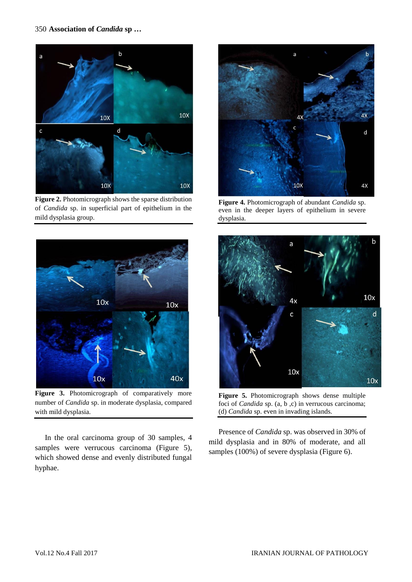

**Figure 2.** Photomicrograph shows the sparse distribution of *Candida* sp. in superficial part of epithelium in the mild dysplasia group.



Figure 3. Photomicrograph of comparatively more number of *Candida* sp. in moderate dysplasia, compared with mild dysplasia.

In the oral carcinoma group of 30 samples, 4 samples were verrucous carcinoma (Figure 5), which showed dense and evenly distributed fungal hyphae.



**Figure 4.** Photomicrograph of abundant *Candida* sp. even in the deeper layers of epithelium in severe dysplasia.



**Figure 5.** Photomicrograph shows dense multiple foci of *Candida* sp. (a, b ,c) in verrucous carcinoma; (d) *Candida* sp. even in invading islands.

Presence of *Candida* sp. was observed in 30% of mild dysplasia and in 80% of moderate, and all samples (100%) of severe dysplasia (Figure 6).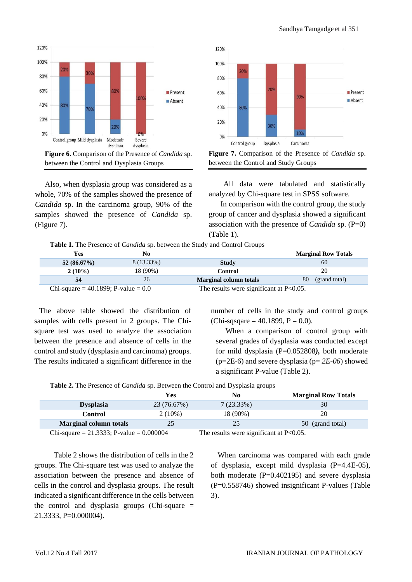

Also, when dysplasia group was considered as a whole, 70% of the samples showed the presence of *Candida* sp. In the carcinoma group, 90% of the samples showed the presence of *Candida* sp. (Figure 7).





All data were tabulated and statistically analyzed by Chi-square test in SPSS software.

In comparison with the control group, the study group of cancer and dysplasia showed a significant association with the presence of *Candida* sp. (P=0) (Table 1).

**Table 1.** The Presence of *Candida* sp. between the Study and Control Groups

|                                       | <b>Yes</b>     | No                                         |                               | <b>Marginal Row Totals</b> |
|---------------------------------------|----------------|--------------------------------------------|-------------------------------|----------------------------|
|                                       | 52 $(86.67\%)$ | 8 (13.33%)                                 | <b>Study</b>                  | 60                         |
|                                       | $2(10\%)$      | 18 (90%)                                   | Control                       | 20                         |
|                                       |                | 26                                         | <b>Marginal column totals</b> | (grand total)<br>80        |
| Chi-square = 40.1899; P-value = $0.0$ |                | The results were significant at $P<0.05$ . |                               |                            |

The above table showed the distribution of samples with cells present in 2 groups. The Chisquare test was used to analyze the association between the presence and absence of cells in the control and study (dysplasia and carcinoma) groups. The results indicated a significant difference in the

number of cells in the study and control groups  $(Chi-sqsqare = 40.1899, P = 0.0).$ 

When a comparison of control group with several grades of dysplasia was conducted except for mild dysplasia (P=0.052808*),* both moderate (p=2E-6) and severe dysplasia (p= *2E-06*) showed a significant P-value (Table 2).

**Table 2.** The Presence of *Candida* sp. Between the Control and Dysplasia groups

|                                               |                               | Yes                                        | No           | <b>Marginal Row Totals</b> |  |  |
|-----------------------------------------------|-------------------------------|--------------------------------------------|--------------|----------------------------|--|--|
|                                               | <b>Dysplasia</b>              | 23 (76.67%)                                | $7(23.33\%)$ | 30                         |  |  |
|                                               | <b>Control</b>                | $2(10\%)$                                  | 18 (90%)     | 20                         |  |  |
|                                               | <b>Marginal column totals</b> | 25                                         | 25           | 50 (grand total)           |  |  |
| Chi-square = $21.3333$ ; P-value = $0.000004$ |                               | The results were significant at $P<0.05$ . |              |                            |  |  |

Table 2 shows the distribution of cells in the 2 groups. The Chi-square test was used to analyze the association between the presence and absence of cells in the control and dysplasia groups. The result indicated a significant difference in the cells between the control and dysplasia groups (Chi-square = 21.3333, P=0.000004).

When carcinoma was compared with each grade of dysplasia, except mild dysplasia (P=4.4E-05), both moderate (P=0.402195) and severe dysplasia (P=0.558746) showed insignificant P-values (Table 3).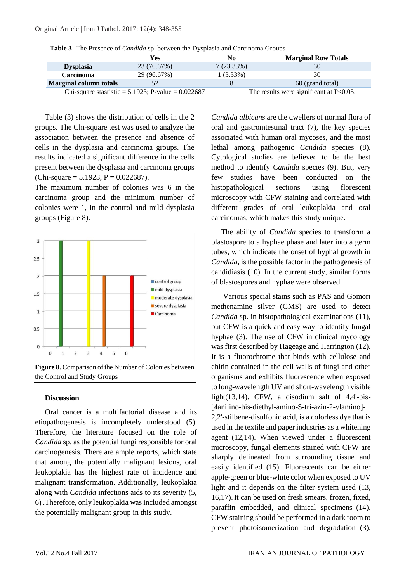|  | Table 3- The Presence of <i>Candida</i> sp. between the Dysplasia and Carcinoma Groups |  |  |  |  |  |  |
|--|----------------------------------------------------------------------------------------|--|--|--|--|--|--|
|--|----------------------------------------------------------------------------------------|--|--|--|--|--|--|

|                                                         | Yes         | No                                         | <b>Marginal Row Totals</b> |  |
|---------------------------------------------------------|-------------|--------------------------------------------|----------------------------|--|
| <b>Dysplasia</b>                                        | 23 (76.67%) | $7(23.33\%)$                               | 30                         |  |
| <b>Carcinoma</b>                                        | 29 (96.67%) | 1 (3.33%)                                  | 30                         |  |
| <b>Marginal column totals</b>                           |             |                                            | 60 (grand total)           |  |
| Chi-square stastistic = $5.1923$ ; P-value = $0.022687$ |             | The results were significant at $P<0.05$ . |                            |  |

Table (3) shows the distribution of cells in the 2 groups. The Chi-square test was used to analyze the association between the presence and absence of cells in the dysplasia and carcinoma groups. The results indicated a significant difference in the cells present between the dysplasia and carcinoma groups (Chi-square =  $5.1923$ , P = 0.022687).

The maximum number of colonies was 6 in the carcinoma group and the minimum number of colonies were 1, in the control and mild dysplasia groups (Figure 8).



**Figure 8.** Comparison of the Number of Colonies between the Control and Study Groups

## **Discussion**

Oral cancer is a multifactorial disease and its etiopathogenesis is incompletely understood (5). Therefore, the literature focused on the role of *Candida* sp. as the potential fungi responsible for oral carcinogenesis. There are ample reports, which state that among the potentially malignant lesions, oral leukoplakia has the highest rate of incidence and malignant transformation. Additionally, leukoplakia along with *Candida* infections aids to its severity (5, 6) .Therefore, only leukoplakia was included amongst the potentially malignant group in this study.

*Candida albicans* are the dwellers of normal flora of oral and gastrointestinal tract (7), the key species associated with human oral mycoses, and the most lethal among pathogenic *Candida* species (8). Cytological studies are believed to be the best method to identify *Candida* species (9). But, very few studies have been conducted on the histopathological sections using florescent microscopy with CFW staining and correlated with different grades of oral leukoplakia and oral carcinomas, which makes this study unique.

The ability of *Candida* species to transform a blastospore to a hyphae phase and later into a germ tubes, which indicate the onset of hyphal growth in *Candida*, is the possible factor in the pathogenesis of candidiasis (10). In the current study, similar forms of blastospores and hyphae were observed.

Various special stains such as PAS and Gomori methenamine silver (GMS) are used to detect *Candida* sp. in histopathological examinations (11), but CFW is a quick and easy way to identify fungal hyphae (3). The use of CFW in clinical mycology was first described by Hageage and Harrington (12). It is a fluorochrome that binds with cellulose and chitin contained in the cell walls of fungi and other organisms and exhibits fluorescence when exposed to long-wavelength UV and short-wavelength visible light $(13,14)$ . CFW, a disodium salt of 4,4'-bis-[4anilino-bis-diethyl-amino-S-tri-azin-2-ylamino]- 2,2'-stilbene-disulfonic acid, is a colorless dye that is used in the textile and paper industries as a whitening agent (12,14). When viewed under a fluorescent microscopy, fungal elements stained with CFW are sharply delineated from surrounding tissue and easily identified (15). Fluorescents can be either apple-green or blue-white color when exposed to UV light and it depends on the filter system used (13, 16,17).It can be used on fresh smears, frozen, fixed, paraffin embedded, and clinical specimens (14). CFW staining should be performed in a dark room to prevent photoisomerization and degradation (3).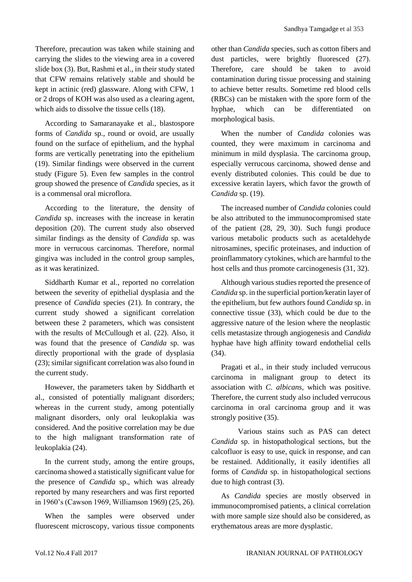Therefore, precaution was taken while staining and carrying the slides to the viewing area in a covered slide box (3). But, Rashmi et al., in their study stated that CFW remains relatively stable and should be kept in actinic (red) glassware. Along with CFW, 1 or 2 drops of KOH was also used as a clearing agent, which aids to dissolve the tissue cells (18).

According to Samaranayake et al., blastospore forms of *Candida* sp., round or ovoid, are usually found on the surface of epithelium, and the hyphal forms are vertically penetrating into the epithelium (19). Similar findings were observed in the current study (Figure 5). Even few samples in the control group showed the presence of *Candida* species, as it is a commensal oral microflora.

According to the literature, the density of *Candida* sp. increases with the increase in keratin deposition (20). The current study also observed similar findings as the density of *Candida* sp. was more in verrucous carcinomas. Therefore, normal gingiva was included in the control group samples, as it was keratinized.

Siddharth Kumar et al., reported no correlation between the severity of epithelial dysplasia and the presence of *Candida* species (21). In contrary, the current study showed a significant correlation between these 2 parameters, which was consistent with the results of McCullough et al. (22). Also, it was found that the presence of *Candida* sp. was directly proportional with the grade of dysplasia (23); similar significant correlation was also found in the current study.

However, the parameters taken by Siddharth et al., consisted of potentially malignant disorders; whereas in the current study, among potentially malignant disorders, only oral leukoplakia was considered. And the positive correlation may be due to the high malignant transformation rate of leukoplakia (24).

In the current study, among the entire groups, carcinoma showed a statistically significant value for the presence of *Candida* sp., which was already reported by many researchers and was first reported in 1960's (Cawson 1969, Williamson 1969) (25, 26).

When the samples were observed under fluorescent microscopy, various tissue components other than *Candida* species, such as cotton fibers and dust particles, were brightly fluoresced (27). Therefore, care should be taken to avoid contamination during tissue processing and staining to achieve better results. Sometime red blood cells (RBCs) can be mistaken with the spore form of the hyphae, which can be differentiated on morphological basis.

When the number of *Candida* colonies was counted, they were maximum in carcinoma and minimum in mild dysplasia. The carcinoma group, especially verrucous carcinoma, showed dense and evenly distributed colonies. This could be due to excessive keratin layers, which favor the growth of *Candida* sp. (19).

The increased number of *Candida* colonies could be also attributed to the immunocompromised state of the patient (28, 29, 30). Such fungi produce various metabolic products such as acetaldehyde nitrosamines, specific proteinases, and induction of proinflammatory cytokines, which are harmful to the host cells and thus promote carcinogenesis (31, 32).

Although various studies reported the presence of *Candida* sp. in the superficial portion/keratin layer of the epithelium, but few authors found *Candida* sp. in connective tissue (33), which could be due to the aggressive nature of the lesion where the neoplastic cells metastasize through angiogenesis and *Candida* hyphae have high affinity toward endothelial cells (34).

Pragati et al., in their study included verrucous carcinoma in malignant group to detect its association with *C. albicans,* which was positive. Therefore, the current study also included verrucous carcinoma in oral carcinoma group and it was strongly positive (35).

 Various stains such as PAS can detect *Candida* sp. in histopathological sections, but the calcofluor is easy to use, quick in response, and can be restained. Additionally, it easily identifies all forms of *Candida* sp. in histopathological sections due to high contrast (3).

As *Candida* species are mostly observed in immunocompromised patients, a clinical correlation with more sample size should also be considered, as erythematous areas are more dysplastic.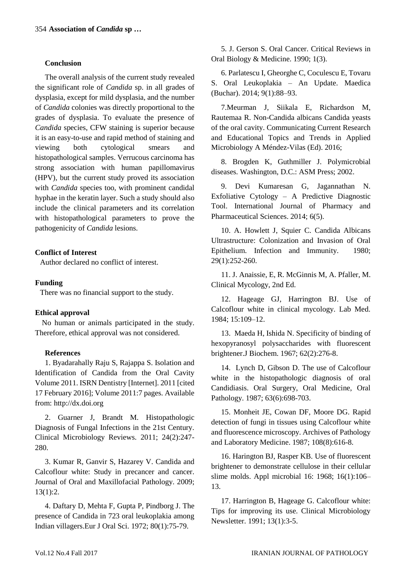## **Conclusion**

The overall analysis of the current study revealed the significant role of *Candida* sp. in all grades of dysplasia, except for mild dysplasia, and the number of *Candida* colonies was directly proportional to the grades of dysplasia. To evaluate the presence of *Candida* species, CFW staining is superior because it is an easy-to-use and rapid method of staining and viewing both cytological smears and histopathological samples. Verrucous carcinoma has strong association with human papillomavirus (HPV), but the current study proved its association with *Candida* species too, with prominent candidal hyphae in the keratin layer. Such a study should also include the clinical parameters and its correlation with histopathological parameters to prove the pathogenicity of *Candida* lesions.

# **Conflict of Interest**

Author declared no conflict of interest.

# **Funding**

There was no financial support to the study.

# **Ethical approval**

No human or animals participated in the study. Therefore, ethical approval was not considered.

# **References**

1. Byadarahally Raju S, Rajappa S. Isolation and Identification of Candida from the Oral Cavity Volume 2011. ISRN Dentistry [Internet]. 2011 [cited 17 February 2016]; Volume 2011:7 pages. Available from: http://dx.doi.org

2. Guarner J, Brandt M. Histopathologic Diagnosis of Fungal Infections in the 21st Century. Clinical Microbiology Reviews. 2011; 24(2):247- 280.

3. Kumar R, Ganvir S, Hazarey V. Candida and Calcoflour white: Study in precancer and cancer. Journal of Oral and Maxillofacial Pathology. 2009; 13(1):2.

4. Daftary D, Mehta F, Gupta P, Pindborg J. The presence of Candida in 723 oral leukoplakia among Indian villagers.Eur J Oral Sci. 1972; 80(1):75-79.

5. J. Gerson S. Oral Cancer. Critical Reviews in Oral Biology & Medicine. 1990; 1(3).

6. Parlatescu I, Gheorghe C, Coculescu E, Tovaru S. Oral Leukoplakia – An Update. Maedica (Buchar). 2014; 9(1):88–93.

7.Meurman J, Siikala E, Richardson M, Rautemaa R. Non-Candida albicans Candida yeasts of the oral cavity. Communicating Current Research and Educational Topics and Trends in Applied Microbiology A Méndez-Vilas (Ed). 2016;

8. Brogden K, Guthmiller J. Polymicrobial diseases. Washington, D.C.: ASM Press; 2002.

9. Devi Kumaresan G, Jagannathan N. Exfoliative Cytology – A Predictive Diagnostic Tool. International Journal of Pharmacy and Pharmaceutical Sciences. 2014; 6(5).

10. A. Howlett J, Squier C. Candida Albicans Ultrastructure: Colonization and Invasion of Oral Epithelium. Infection and Immunity. 1980; 29(1):252-260.

11. J. Anaissie, E, R. McGinnis M, A. Pfaller, M. Clinical Mycology, 2nd Ed.

12. Hageage GJ, Harrington BJ. Use of Calcoflour white in clinical mycology. Lab Med. 1984; 15:109–12.

13. Maeda H, Ishida N. Specificity of binding of hexopyranosyl polysaccharides with fluorescent brightener.J Biochem. 1967; 62(2):276-8.

14. Lynch D, Gibson D. The use of Calcoflour white in the histopathologic diagnosis of oral Candidiasis. Oral Surgery, Oral Medicine, Oral Pathology. 1987; 63(6):698-703.

15. Monheit JE, Cowan DF, Moore DG. Rapid detection of fungi in tissues using Calcoflour white and fluorescence microscopy. Archives of Pathology and Laboratory Medicine. 1987; 108(8):616-8.

16. Harington BJ, Rasper KB. Use of fluorescent brightener to demonstrate cellulose in their cellular slime molds. Appl microbial 16: 1968; 16(1):106– 13.

17. Harrington B, Hageage G. Calcoflour white: Tips for improving its use. Clinical Microbiology Newsletter. 1991; 13(1):3-5.